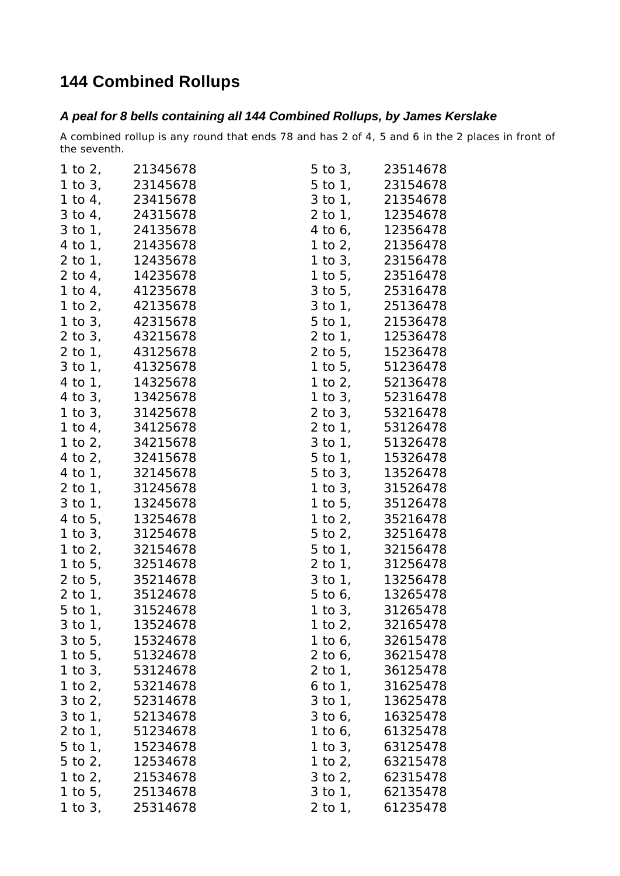## **144 Combined Rollups**

## *A peal for 8 bells containing all 144 Combined Rollups, by James Kerslake*

A combined rollup is any round that ends 78 and has 2 of 4, 5 and 6 in the 2 places in front of the seventh.

|              | 1 to 2, 21345678   | 5 to 3, 23514678   |
|--------------|--------------------|--------------------|
|              | 1 to $3, 23145678$ | 5 to 1, 23154678   |
|              | 1 to 4, 23415678   | 3 to 1, 21354678   |
|              | 3 to 4, 24315678   | 2 to 1, 12354678   |
|              | 3 to 1, 24135678   | 4 to 6, 12356478   |
|              | 4 to 1, 21435678   | 1 to 2, 21356478   |
| 2 to 1,      | 12435678           | 1 to 3, 23156478   |
|              | 2 to 4, 14235678   | 1 to 5, 23516478   |
|              | 1 to 4, 41235678   | 3 to 5, 25316478   |
|              | 1 to 2, 42135678   | 3 to 1, 25136478   |
|              | 1 to 3, 42315678   | 5 to 1, 21536478   |
| $2$ to $3$ , | 43215678           | 2 to 1, 12536478   |
|              | 2 to 1, 43125678   | 2 to 5, 15236478   |
| $3$ to $1$ , | 41325678           | 1 to 5, 51236478   |
|              | 4 to 1, 14325678   | 1 to 2, 52136478   |
| $4$ to $3$ , | 13425678           | 1 to 3, 52316478   |
|              | 1 to 3, 31425678   | 2 to 3, 53216478   |
|              | 1 to 4, 34125678   | 2 to 1, 53126478   |
|              | 1 to $2, 34215678$ | 3 to 1, 51326478   |
|              | 4 to 2, 32415678   | 5 to 1, 15326478   |
| 4 to 1,      | 32145678           | 5 to 3, 13526478   |
|              | 2 to 1, 31245678   | 1 to 3, 31526478   |
| $3$ to $1$ , | 13245678           | 1 to 5, 35126478   |
|              | 4 to 5, 13254678   | 1 to 2, 35216478   |
|              | 1 to 3, 31254678   | 5 to 2, 32516478   |
|              | 1 to 2, 32154678   | 5 to 1, 32156478   |
|              | 1 to 5, 32514678   | 2 to 1, 31256478   |
|              | 2 to 5, 35214678   | 3 to 1, 13256478   |
|              | 2 to 1, 35124678   | 5 to 6, 13265478   |
|              | 5 to 1, 31524678   | 1 to 3, $31265478$ |
|              | 3 to 1, 13524678   | 1 to 2, 32165478   |
|              | 3 to 5, 15324678   | 1 to 6, 32615478   |
|              | 1 to 5, 51324678   | 2 to 6, 36215478   |
|              | 1 to 3, 53124678   | 2 to 1, 36125478   |
|              | 1 to 2, 53214678   | 6 to 1, 31625478   |
|              | 3 to 2, 52314678   | 3 to 1, 13625478   |
| $3$ to $1$ , | 52134678           | 3 to 6, 16325478   |
|              | 2 to 1, 51234678   | 1 to 6, 61325478   |
| $5$ to $1$ , | 15234678           | 1 to 3, 63125478   |
|              | 5 to 2, 12534678   | 1 to 2, 63215478   |
|              | 1 to 2, 21534678   | 3 to 2, 62315478   |
|              | 1 to 5, $25134678$ | 3 to 1, 62135478   |
|              | 1 to 3, 25314678   | 2 to 1, 61235478   |